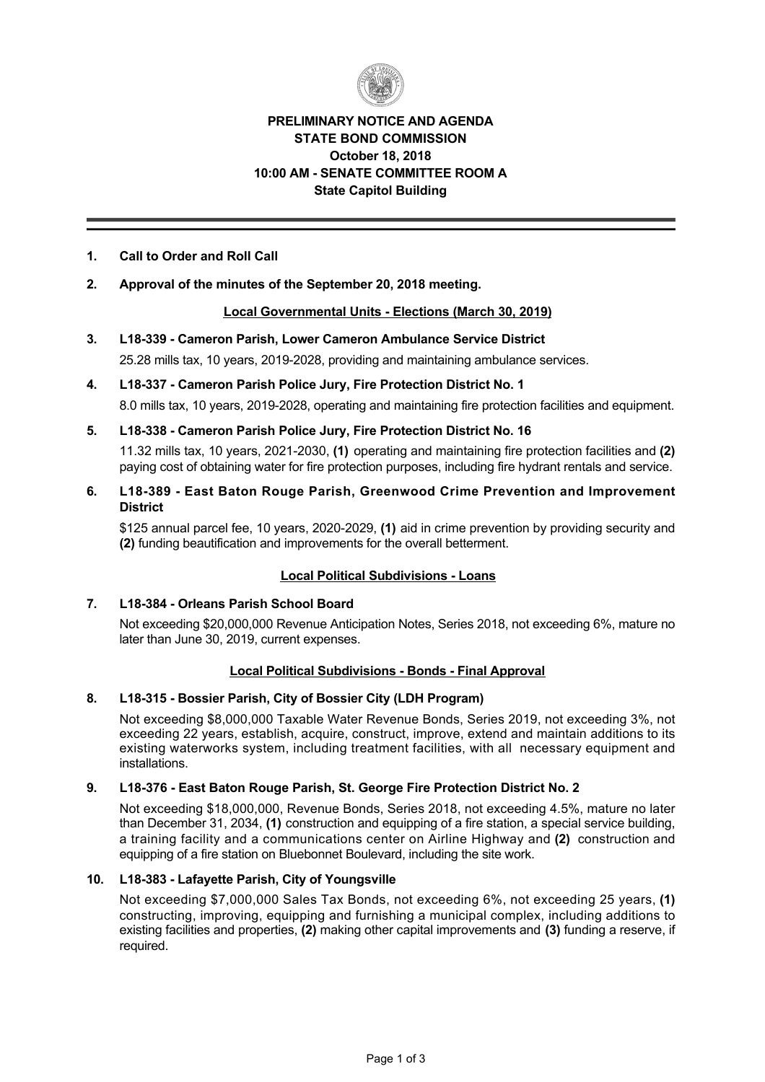

## **PRELIMINARY NOTICE AND AGENDA STATE BOND COMMISSION October 18, 2018 10:00 AM SENATE COMMITTEE ROOM A State Capitol Building**

## **1. Call to Order and Roll Call**

## **2. Approval of the minutes of the September 20, 2018 meeting.**

## **Local Governmental Units Elections (March 30, 2019)**

- **3. L18339 Cameron Parish, Lower Cameron Ambulance Service District** 25.28 mills tax, 10 years, 2019-2028, providing and maintaining ambulance services.
- **4. L18337 Cameron Parish Police Jury, Fire Protection District No. 1** 8.0 mills tax, 10 years, 2019-2028, operating and maintaining fire protection facilities and equipment.
- **5. L18338 Cameron Parish Police Jury, Fire Protection District No. 16** 11.32 mills tax, 10 years, 20212030, **(1)** operating and maintaining fire protection facilities and **(2)** paying cost of obtaining water for fire protection purposes, including fire hydrant rentals and service.
- **6. L18389 East Baton Rouge Parish, Greenwood Crime Prevention and Improvement District**

\$125 annual parcel fee, 10 years, 2020-2029, (1) aid in crime prevention by providing security and **(2)** funding beautification and improvements for the overall betterment.

## **Local Political Subdivisions Loans**

## **7. L18384 Orleans Parish School Board**

Not exceeding \$20,000,000 Revenue Anticipation Notes, Series 2018, not exceeding 6%, mature no later than June 30, 2019, current expenses.

## **Local Political Subdivisions - Bonds - Final Approval**

## **8. L18315 Bossier Parish, City of Bossier City (LDH Program)**

Not exceeding \$8,000,000 Taxable Water Revenue Bonds, Series 2019, not exceeding 3%, not exceeding 22 years, establish, acquire, construct, improve, extend and maintain additions to its existing waterworks system, including treatment facilities, with all necessary equipment and installations.

## **9. L18376 East Baton Rouge Parish, St. George Fire Protection District No. 2**

Not exceeding \$18,000,000, Revenue Bonds, Series 2018, not exceeding 4.5%, mature no later than December 31, 2034, **(1)** construction and equipping of a fire station, a special service building, a training facility and a communications center on Airline Highway and **(2)** construction and equipping of a fire station on Bluebonnet Boulevard, including the site work.

#### **10. L18383 Lafayette Parish, City of Youngsville**

Not exceeding \$7,000,000 Sales Tax Bonds, not exceeding 6%, not exceeding 25 years, **(1)** constructing, improving, equipping and furnishing a municipal complex, including additions to existing facilities and properties, **(2)** making other capital improvements and **(3)** funding a reserve, if required.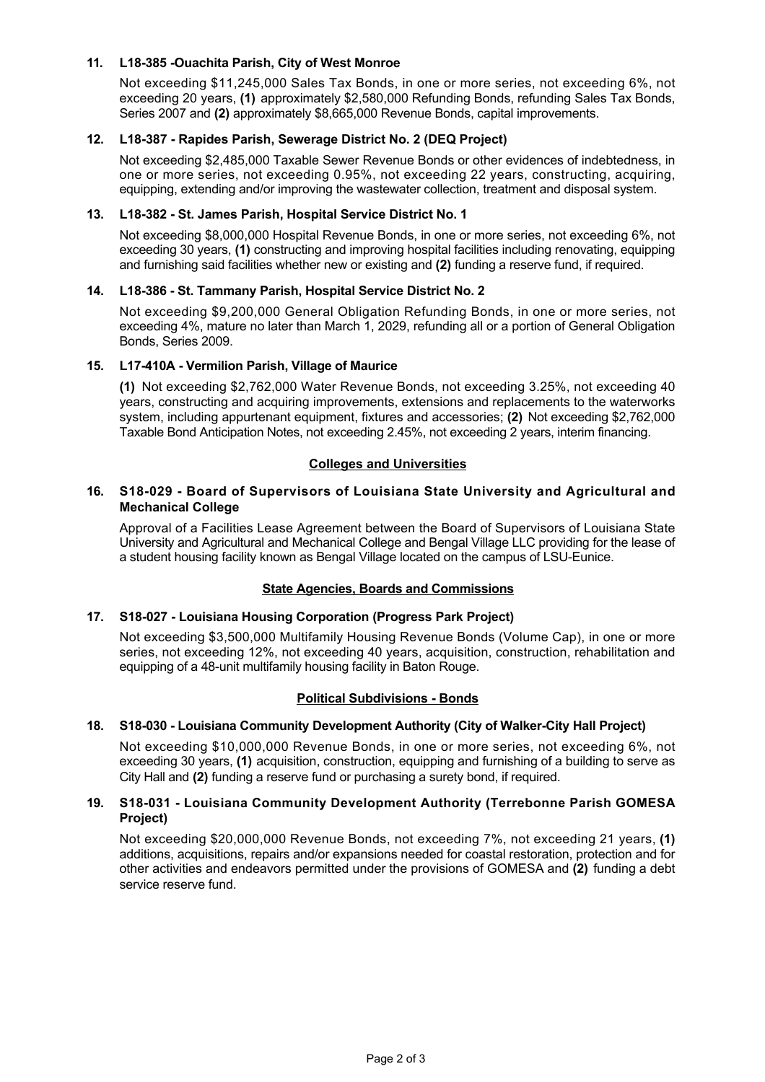## **11. L18385 Ouachita Parish, City of West Monroe**

Not exceeding \$11,245,000 Sales Tax Bonds, in one or more series, not exceeding 6%, not exceeding 20 years, **(1)** approximately \$2,580,000 Refunding Bonds, refunding Sales Tax Bonds, Series 2007 and **(2)** approximately \$8,665,000 Revenue Bonds, capital improvements.

## **12. L18387 Rapides Parish, Sewerage District No. 2 (DEQ Project)**

Not exceeding \$2,485,000 Taxable Sewer Revenue Bonds or other evidences of indebtedness, in one or more series, not exceeding 0.95%, not exceeding 22 years, constructing, acquiring, equipping, extending and/or improving the wastewater collection, treatment and disposal system.

## **13. L18382 St. James Parish, Hospital Service District No. 1**

Not exceeding \$8,000,000 Hospital Revenue Bonds, in one or more series, not exceeding 6%, not exceeding 30 years, **(1)** constructing and improving hospital facilities including renovating, equipping and furnishing said facilities whether new or existing and **(2)** funding a reserve fund, if required.

## **14. L18386 St. Tammany Parish, Hospital Service District No. 2**

Not exceeding \$9,200,000 General Obligation Refunding Bonds, in one or more series, not exceeding 4%, mature no later than March 1, 2029, refunding all or a portion of General Obligation Bonds, Series 2009.

## **15. L17410A Vermilion Parish, Village of Maurice**

**(1)** Not exceeding \$2,762,000 Water Revenue Bonds, not exceeding 3.25%, not exceeding 40 years, constructing and acquiring improvements, extensions and replacements to the waterworks system, including appurtenant equipment, fixtures and accessories; **(2)** Not exceeding \$2,762,000 Taxable Bond Anticipation Notes, not exceeding 2.45%, not exceeding 2 years, interim financing.

## **Colleges and Universities**

#### **16. S18029 Board of Supervisors of Louisiana State University and Agricultural and Mechanical College**

Approval of a Facilities Lease Agreement between the Board of Supervisors of Louisiana State University and Agricultural and Mechanical College and Bengal Village LLC providing for the lease of a student housing facility known as Bengal Village located on the campus of LSU-Eunice.

## **State Agencies, Boards and Commissions**

## 17. **S18-027 - Louisiana Housing Corporation (Progress Park Project)**

Not exceeding \$3,500,000 Multifamily Housing Revenue Bonds (Volume Cap), in one or more series, not exceeding 12%, not exceeding 40 years, acquisition, construction, rehabilitation and equipping of a 48-unit multifamily housing facility in Baton Rouge.

## **Political Subdivisions - Bonds**

## 18. S18-030 - Louisiana Community Development Authority (City of Walker-City Hall Project)

Not exceeding \$10,000,000 Revenue Bonds, in one or more series, not exceeding 6%, not exceeding 30 years, **(1)** acquisition, construction, equipping and furnishing of a building to serve as City Hall and **(2)** funding a reserve fund or purchasing a surety bond, if required.

## **19. S18031 Louisiana Community Development Authority (Terrebonne Parish GOMESA Project)**

Not exceeding \$20,000,000 Revenue Bonds, not exceeding 7%, not exceeding 21 years, **(1)** additions, acquisitions, repairs and/or expansions needed for coastal restoration, protection and for other activities and endeavors permitted under the provisions of GOMESA and **(2)** funding a debt service reserve fund.